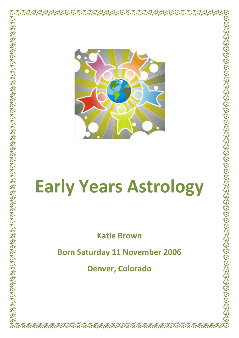

وی کے بعد اس کے بعد اس کے بعد اس کے بعد اس کے بعد اس کے بعد اس کے بعد اس کے بعد اس کے بعد اس کے بعد اس کے بعد<br>اس کے بعد اس کے بعد اس کے بعد اس کے بعد اس کے بعد اس کے بعد اس کے بعد اس کے بعد اس کے بعد اس کے بعد اس کے بعد<br>ا

ነው የሚሰጡት የሚሰጡት የሚሰጡት የሚሰጡት የሚሰጡት የሚሰጡት የሚሰጡት የሚሰጡት የሚሰጡት የሚሰጡት የሚሰጡት የሚሰጡት የሚሰጡት የሚሰጡት የሚሰጡት የሚሰጡት የሚሰጡት የሚሰጡት

**Pareps** 

। इ.स. १३४९ वर्ष २३४९ वर्ष २३<br>इ.स. १९४९ वर्ष २४९ वर्ष २४९

**PYOPYOPY** 

**A BALLARY AND A BALLARY AND A BALLARY AND A BALLARY AND A BALLARY AND A BALLARY AND A BALLARY AND A BALLARY AND** 

**ANTISTANTICIPS** 

**November** 

VERTICAL CONTRACT OF THE REPAIR OF THE

**DO GOOD CONSTRUCTION OF STATE**  $\sum_{n=1}^{\infty}$ 

> $-47 - 47$ ৰসৃঁ

# **Early Years Astrology**

**Katie Brown**

**Born Saturday 11 November 2006** 

**Denver, Colorado**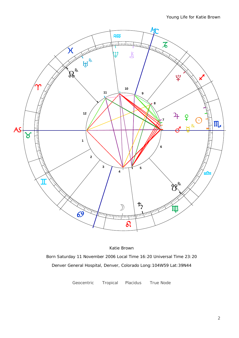

Katie Brown Born Saturday 11 November 2006 Local Time 16:20 Universal Time 23:20 Denver General Hospital, Denver, Colorado Long:104W59 Lat:39N44

Geocentric Tropical Placidus True Node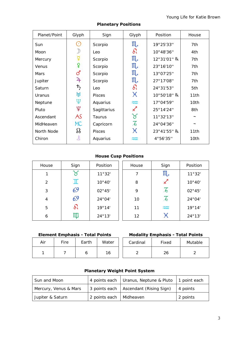| Planet/Point      | Glyph                       | Sign            | Glyph                      | Position    | House      |
|-------------------|-----------------------------|-----------------|----------------------------|-------------|------------|
| <b>Sun</b>        | $(\,\cdot\,)$               | Scorpio         | $III_{\sigma}$             | 19°25'33"   | 7th        |
| Moon              |                             | Leo             | $\delta l$                 | 10°48'36"   | 4th        |
| Mercury           |                             | Scorpio         | $III_{d}$                  | 12°31'01" R | 7th        |
| <b>Venus</b>      | ¥                           | Scorpio         | $III_{\sigma}$             | 23°16'10"   | 7th        |
| <b>Mars</b>       | ර                           | Scorpio         | $\mathfrak{m}$             | 13°07'25"   | 7th        |
| Jupiter           | $\mathfrak{P}_{\mathsf{F}}$ | Scorpio         | $\mathfrak{m}$             | 27°17'08"   | 7th        |
| Saturn            | $\frac{1}{2}$               | Leo             | $\delta l$                 | 24°31'53"   | 5th        |
| Uranus            | ਮ੍ਹ                         | <b>Pisces</b>   | $\chi$                     | 10°50'18" R | 11th       |
| <b>Neptune</b>    | Ψ                           | <b>Aquarius</b> | $\approx$                  | 17°04'59"   | 10th       |
| Pluto             | ೪                           | Sagittarius     | $\boldsymbol{\mathcal{K}}$ | 25°14'24"   | 8th        |
| Ascendant         | AS                          | <b>Taurus</b>   | ૪                          | 11°32'13"   |            |
| MidHeaven         | <b>MC</b>                   | Capricorn       | $\overline{\mathcal{L}}$   | 24°04'36"   | $\tilde{}$ |
| <b>North Node</b> | ℅                           | <b>Pisces</b>   | $\chi$                     | 23°41'55" R | 11th       |
| Chiron            | 飞                           | <b>Aquarius</b> | ₩                          | 4°56'35"    | 10th       |
|                   |                             |                 |                            |             |            |

#### **Planetary Positions**

#### **House Cusp Positions**

| House          | Sign       | Position | House | Sign                     | Position |
|----------------|------------|----------|-------|--------------------------|----------|
| 1              | $\gamma$   | 11°32'   | 7     | $III_{d}$                | 11°32'   |
| $\overline{2}$ | π          | 10°40'   | 8     | $\measuredangle$         | 10°40'   |
| 3              | 69         | 02°45'   | 9     | $\overline{\mathcal{A}}$ | 02°45'   |
| 4              | 69         | 24°04'   | 10    | $\overline{\mathcal{L}}$ | 24°04'   |
| 5              | $\delta l$ | 19°14'   | 11    | $\widetilde{\sim}$       | 19°14'   |
| 6              | ЩI         | 24°13'   | 12    | χ                        | 24°13'   |

## **Element Emphasis - Total Points**

| Air | <b>Fire</b> | Earth | Water | Card |
|-----|-------------|-------|-------|------|
|     |             | О     | 16    | ◠    |

#### **Modality Emphasis - Total Points**

| ire | Earth | Water | Cardinal | Fixed | Mutable |  |  |
|-----|-------|-------|----------|-------|---------|--|--|
| -   |       | 16    |          | 26    |         |  |  |

## **Planetary Weight Point System**

| Sun and Moon          |                           | 4 points each   Uranus, Neptune & Pluto               | 1 point each |  |
|-----------------------|---------------------------|-------------------------------------------------------|--------------|--|
| Mercury, Venus & Mars |                           | $\vert$ 3 points each $\vert$ Ascendant (Rising Sign) | 4 points     |  |
| Jupiter & Saturn      | 2 points each   Midheaven |                                                       | 2 points     |  |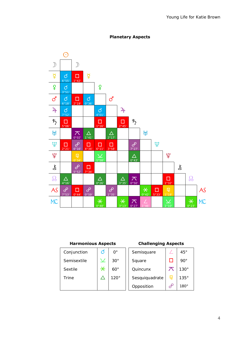

### **Planetary Aspects**

#### **Harmonious Aspects Challenging Aspects**

| Conjunction    | Ø      | $0^{\circ}$ | Semisquare     |   | $45^{\circ}$ |
|----------------|--------|-------------|----------------|---|--------------|
| Semisextile    | $\vee$ | $30^\circ$  | Square         |   | 90°          |
| <b>Sextile</b> | $\ast$ | $60^\circ$  | Quincunx       |   | $130^\circ$  |
| <b>Trine</b>   |        | $120^\circ$ | Sesquiquadrate | 曱 | $135^\circ$  |
|                |        |             | Opposition     |   | $180^\circ$  |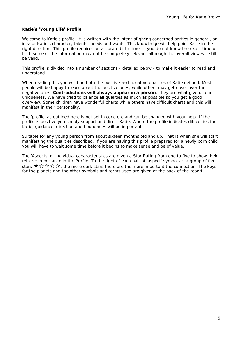#### **Katie's 'Young Life' Profile**

Welcome to Katie's profile. It is written with the intent of giving concerned parties in general, an idea of Katie's character, talents, needs and wants. This knowledge will help point Katie in the right direction. This profile requires an accurate birth time. If you do not know the exact time of birth some of the information may not be completely relevant although the overall view will still be valid.

This profile is divided into a number of sections - detailed below - to make it easier to read and understand.

When reading this you will find both the positive and negative qualities of Katie defined. Most people will be happy to learn about the positive ones, while others may get upset over the negative ones. **Contradictions will always appear in a person**. They are what give us our uniqueness. We have tried to balance all qualities as much as possible so you get a good overview. Some children have wonderful charts while others have difficult charts and this will manifest in their personality.

The 'profile' as outlined here is not set in concrete and can be changed with your help. If the profile is positive you simply support and direct Katie. Where the profile indicates difficulties for Katie, guidance, direction and boundaries will be important.

Suitable for any young person from about sixteen months old and up. That is when she will start manifesting the qualities described. If you are having this profile prepared for a newly born child you will have to wait some time before it begins to make sense and be of value.

The 'Aspects' or individual caharacteristics are given a Star Rating from one to five to show their relative importance in the Profile. To the right of each pair of 'aspect' symbols is a group of five stars  $\star \otimes \otimes \otimes$   $\star$ . the more dark stars there are the more important the connection. The keys for the planets and the other symbols and terms used are given at the back of the report.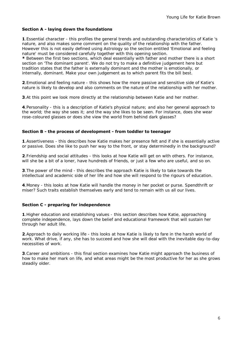#### **Section A - laying down the foundations**

**1**.Essential character - this profiles the general trends and outstanding characteristics of Katie 's nature, and also makes some comment on the quality of the relationship with the father. However this is not easily defined using Astrology so the section entitled 'Emotional and feeling nature' must be considered carefully together with this opening section.

**\*** Between the first two sections, which deal essentially with father and mother there is a short section on 'The dominant parent'. We do not try to make a definitive judgement here but tradition states that the father is externally dominant and the mother is emotionally, or internally, dominant. Make your own judgement as to which parent fits the bill best.

**2**.Emotional and feeling nature - this shows how the more passive and sensitive side of Katie's nature is likely to develop and also comments on the nature of the relationship with her mother.

**3**.At this point we look more directly at the relationship between Katie and her mother.

**4**.Personality - this is a description of Katie's physical nature; and also her general approach to the world; the way she sees it; and the way she likes to be seen. For instance, does she wear rose-coloured glasses or does she view the world from behind dark glasses?

#### **Section B - the process of development - from toddler to teenager**

**1**.Assertiveness - this describes how Katie makes her presence felt and if she is essentially active or passive. Does she like to push her way to the front, or stay determinedly in the background?

**2**.Friendship and social attitudes - this looks at how Katie will get on with others. For instance, will she be a bit of a loner, have hundreds of friends, or just a few who are useful, and so on.

**3**.The power of the mind - this describes the approach Katie is likely to take towards the intellectual and academic side of her life and how she will respond to the rigours of education.

**4**.Money - this looks at how Katie will handle the money in her pocket or purse. Spendthrift or miser? Such traits establish themselves early and tend to remain with us all our lives.

#### **Section C - preparing for independence**

**1**.Higher education and establishing values - this section describes how Katie, approaching complete independence, lays down the belief and educational framework that will sustain her through her adult life.

**2**.Approach to daily working life - this looks at how Katie is likely to fare in the harsh world of work. What drive, if any, she has to succeed and how she will deal with the inevitable day-to-day necessities of work.

**3**.Career and ambitions - this final section examines how Katie might approach the business of how to make her mark on life, and what areas might be the most productive for her as she grows steadily older.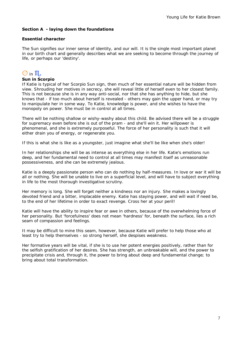#### **Section A - laying down the foundations**

#### **Essential character**

The Sun signifies our inner sense of identity, and our will. It is the single most important planet in our birth chart and generally describes what we are seeking to become through the journey of life, or perhaps our 'destiny'.

## $\odot$  in  $\mathbb{II}$

#### **Sun in Scorpio**

If Katie is typical of her Scorpio Sun sign, then much of her essential nature will be hidden from view. Shrouding her motives in secrecy, she will reveal little of herself even to her closest family. This is not because she is in any way anti-social, nor that she has anything to hide, but she knows that - if too much about herself is revealed - others may gain the upper hand, or may try to manipulate her in some way. To Katie, knowledge is power, and she wishes to have the monopoly on power. She must be in control at all times.

There will be nothing shallow or wishy-washy about this child. Be advised there will be a struggle for supremacy even before she is out of the pram - and she'll win it. Her willpower is phenomenal, and she is extremely purposeful. The force of her personality is such that it will either drain you of energy, or regenerate you.

If this is what she is like as a youngster, just imagine what she'll be like when she's older!

In her relationships she will be as intense as everything else in her life. Katie's emotions run deep, and her fundamental need to control at all times may manifest itself as unreasonable possessiveness, and she can be extremely jealous.

Katie is a deeply passionate person who can do nothing by half-measures. In love or war it will be all or nothing. She will be unable to live on a superficial level, and will have to subject everything in life to the most thorough investigative scrutiny.

Her memory is long. She will forget neither a kindness nor an injury. She makes a lovingly devoted friend and a bitter, implacable enemy. Katie has staying power, and will wait if need be, to the end of her lifetime in order to exact revenge. Cross her at your peril!

Katie will have the ability to inspire fear or awe in others, because of the overwhelming force of her personality. But 'forcefulness' does not mean 'hardness' for, beneath the surface, lies a rich seam of compassion and feelings.

It may be difficult to mine this seam, however, because Katie will prefer to help those who at least try to help themselves - so strong herself, she despises weakness.

Her formative years will be vital, if she is to use her potent energies positively, rather than for the selfish gratification of her desires. She has strength, an unbreakable will, and the power to precipitate crisis and, through it, the power to bring about deep and fundamental change; to bring about total transformation.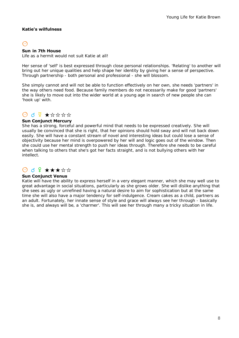#### **Katie's wilfulness**

## $\Omega$

#### **Sun in 7th House**

Life as a hermit would not suit Katie at all!

Her sense of 'self' is best expressed through close personal relationships. 'Relating' to another will bring out her unique qualities and help shape her identity by giving her a sense of perspective. Through partnership - both personal and professional - she will blossom.

She simply cannot and will not be able to function effectively on her own, she needs 'partners' in the way others need food. Because family members do not necessarily make for good 'partners' she is likely to move out into the wider world at a young age in search of new people she can 'hook up' with.

## $0$  d  $9$   $\star$   $\star$   $\star$   $\star$   $\star$   $\star$

#### **Sun Conjunct Mercury**

She has a strong, forceful and powerful mind that needs to be expressed creatively. She will usually be convinced that she is right, that her opinions should hold sway and will not back down easily. She will have a constant stream of novel and interesting ideas but could lose a sense of objectivity because her mind is overpowered by her will and logic goes out of the window. Then she could use her mental strength to push her ideas through. Therefore she needs to be careful when talking to others that she's got her facts straight, and is not bullying others with her intellect.

## $\bigcirc$  d  $\Omega$  \*\*\*\*\*

#### **Sun Conjunct Venus**

Katie will have the ability to express herself in a very elegant manner, which she may well use to great advantage in social situations, particularly as she grows older. She will dislike anything that she sees as ugly or unrefined having a natural desire to aim for sophistication but at the same time she will also have a major tendency for self-indulgence. Cream cakes as a child, partners as an adult. Fortunately, her innate sense of style and grace will always see her through - basically she is, and always will be, a 'charmer'. This will see her through many a tricky situation in life.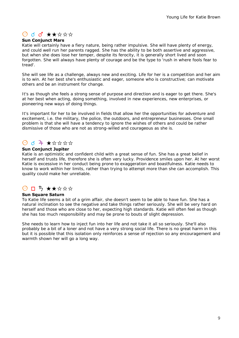## $\theta$  d d  $\star\star\star\star\star$

#### **Sun Conjunct Mars**

Katie will certainly have a fiery nature, being rather impulsive. She will have plenty of energy, and could well run her parents ragged. She has the ability to be both assertive and aggressive, but when she does lose her temper, despite its ferocity, it is generally short lived and soon forgotten. She will always have plenty of courage and be the type to 'rush in where fools fear to tread'.

She will see life as a challenge, always new and exciting. Life for her is a competition and her aim is to win. At her best she's enthusiastic and eager, someone who is constructive; can motivate others and be an instrument for change.

It's as though she feels a strong sense of purpose and direction and is eager to get there. She's at her best when acting, doing something, involved in new experiences, new enterprises, or pioneering new ways of doing things.

It's important for her to be involved in fields that allow her the opportunities for adventure and excitement, i.e. the military, the police, the outdoors, and entrepreneur businesses. One small problem is that she will have a tendency to ignore the wishes of others and could be rather dismissive of those who are not as strong-willed and courageous as she is.

## $0$  d  $4$   $\star$   $\star$   $\star$   $\star$   $\star$

#### **Sun Conjunct Jupiter**

Katie is an optimistic and confident child with a great sense of fun. She has a great belief in herself and trusts life, therefore she is often very lucky. Providence smiles upon her. At her worst Katie is excessive in her conduct being prone to exaggeration and boastfulness. Katie needs to know to work within her limits, rather than trying to attempt more than she can accomplish. This quality could make her unreliable.

## $\Theta$  D  $\uparrow$   $\star$   $\star$   $\star$   $\star$   $\star$   $\star$

#### **Sun Square Saturn**

To Katie life seems a bit of a grim affair, she doesn't seem to be able to have fun. She has a natural inclination to see the negative and take things rather seriously. She will be very hard on herself and those who are close to her, expecting high standards. Katie will often feel as though she has too much responsibility and may be prone to bouts of slight depression.

She needs to learn how to inject fun into her life and not take it all so seriously. She'll also probably be a bit of a loner and not have a very strong social life. There is no great harm in this but it is possible that this isolation only reinforces a sense of rejection so any encouragement and warmth shown her will go a long way.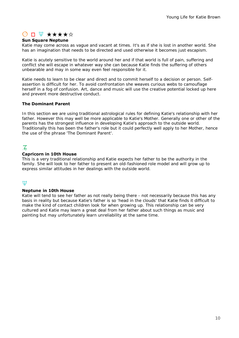## $\odot$  n  $\mathbf{F}$  \*\*\*\*\*

#### **Sun Square Neptune**

Katie may come across as vague and vacant at times. It's as if she is lost in another world. She has an imagination that needs to be directed and used otherwise it becomes just escapism.

Katie is acutely sensitive to the world around her and if that world is full of pain, suffering and conflict she will escape in whatever way she can because Katie finds the suffering of others unbearable and may in some way even feel responsible for it.

Katie needs to learn to be clear and direct and to commit herself to a decision or person. Selfassertion is difficult for her. To avoid confrontation she weaves curious webs to camouflage herself in a fog of confusion. Art, dance and music will use the creative potential locked up here and prevent more destructive conduct.

#### **The Dominant Parent**

In this section we are using traditional astrological rules for defining Katie's relationship with her father. However this may well be more applicable to Katie's Mother. Generally one or other of the parents has the strongest influence in developing Katie's approach to the outside world. Traditionally this has been the father's role but it could perfectly well apply to her Mother, hence the use of the phrase 'The Dominant Parent'.

## $\overline{A}$

#### **Capricorn in 10th House**

This is a very traditional relationship and Katie expects her father to be the authority in the family. She will look to her father to present an old-fashioned role model and will grow up to express similar attitudes in her dealings with the outside world.

## tt

#### **Neptune in 10th House**

Katie will tend to see her father as not really being there - not necessarily because this has any basis in reality but because Katie's father is so 'head in the clouds' that Katie finds it difficult to make the kind of contact children look for when growing up. This relationship can be very cultured and Katie may learn a great deal from her father about such things as music and painting but may unfortunately learn unreliability at the same time.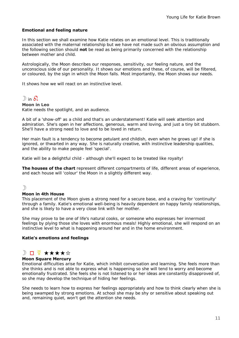#### **Emotional and feeling nature**

In this section we shall examine how Katie relates on an emotional level. This is traditionally associated with the maternal relationship but we have not made such an obvious assumption and the following section should **not** be read as being primarily concerned with the relationship between mother and child.

Astrologically, the Moon describes our responses, sensitivity, our feeling nature, and the unconscious side of our personality. It shows our emotions and these, of course, will be filtered, or coloured, by the sign in which the Moon falls. Most importantly, the Moon shows our needs.

It shows how we will react on an instinctive level.

## $\mathbb{D}$  in  $\mathbb{\Omega}$

**Moon in Leo** Katie needs the spotlight, and an audience.

A bit of a 'show-off' as a child and that's an understatement! Katie will seek attention and admiration. She's open in her affections, generous, warm and loving, and just a tiny bit stubborn. She'll have a strong need to love and to be loved in return.

Her main fault is a tendency to become petulant and childish, even when he grows up! if she is ignored, or thwarted in any way. She is naturally creative, with instinctive leadership qualities, and the ability to make people feel 'special'.

Katie will be a delightful child - although she'll expect to be treated like royalty!

**The houses of the chart** represent different compartments of life, different areas of experience, and each house will 'colour' the Moon in a slightly different way.

#### $\mathcal{D}$

#### **Moon in 4th House**

This placement of the Moon gives a strong need for a secure base, and a craving for 'continuity' through a family. Katie's emotional well-being is heavily dependent on happy family relationships, and she is likely to have a very close link with her mother.

She may prove to be one of life's natural cooks, or someone who expresses her innermost feelings by plying those she loves with enormous meals! Highly emotional, she will respond on an instinctive level to what is happening around her and in the home environment.

#### **Katie's emotions and feelings**

## $\mathbb{D} \cap \mathcal{F} \star \star \star \star \star$

#### **Moon Square Mercury**

Emotional difficulties arise for Katie, which inhibit conversation and learning. She feels more than she thinks and is not able to express what is happening so she will tend to worry and become emotionally frustrated. She feels she is not listened to or her ideas are constantly disapproved of, so she may develop the technique of hiding her feelings.

She needs to learn how to express her feelings appropriately and how to think clearly when she is being swamped by strong emotions. At school she may be shy or sensitive about speaking out and, remaining quiet, won't get the attention she needs.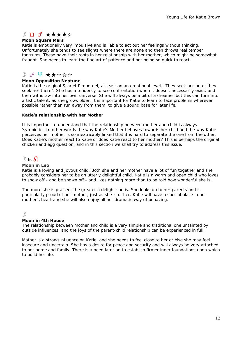## $D \Box$  d' \*\*\*\*\*

#### **Moon Square Mars**

Katie is emotionally very impulsive and is liable to act out her feelings without thinking. Unfortunately she tends to see slights where there are none and then throws real temper tantrums. These have their roots in her relationship with her mother, which might be somewhat fraught. She needs to learn the fine art of patience and not being so quick to react.

## $D$   $\partial$   $\Psi$   $\star$   $\star$   $\star$   $\star$   $\star$   $\star$

#### **Moon Opposition Neptune**

Katie is the original Scarlet Pimpernel, at least on an emotional level. "They seek her here, they seek her there". She has a tendency to see confrontation when it doesn't necessarily exist, and then withdraw into her own universe. She will always be a bit of a dreamer but this can turn into artistic talent, as she grows older. It is important for Katie to learn to face problems wherever possible rather than run away from them, to give a sound base for later life.

#### **Katie's relationship with her Mother**

It is important to understand that the relationship between mother and child is always 'symbiotic'. In other words the way Katie's Mother behaves towards her child and the way Katie perceives her mother is so inextricably linked that it is hard to separate the one from the other. Does Katie's mother react to Katie or does Katie react to her mother? This is perhaps the original chicken and egg question, and in this section we shall try to address this issue.

## $\mathbb{D}$  in  $\delta$

#### **Moon in Leo**

Katie is a loving and joyous child. Both she and her mother have a lot of fun together and she probably considers her to be an utterly delightful child. Katie is a warm and open child who loves to show off - and be shown off - and likes nothing more than to be told how wonderful she is.

The more she is praised, the greater a delight she is. She looks up to her parents and is particularly proud of her mother, just as she is of her. Katie will have a special place in her mother's heart and she will also enjoy all her dramatic way of behaving.

#### $\mathcal{D}$

#### **Moon in 4th House**

The relationship between mother and child is a very simple and traditional one untainted by outside influences, and the joys of the parent-child relationship can be experienced in full.

Mother is a strong influence on Katie, and she needs to feel close to her or else she may feel insecure and uncertain. She has a desire for peace and security and will always be very attached to her home and family. There is a need later on to establish firmer inner foundations upon which to build her life.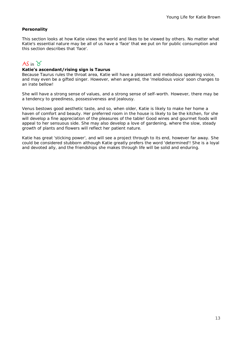#### **Personality**

This section looks at how Katie views the world and likes to be viewed by others. No matter what Katie's essential nature may be all of us have a 'face' that we put on for public consumption and this section describes that 'face'.

## $AS$  in  $\gamma$

#### **Katie's ascendant/rising sign is Taurus**

Because Taurus rules the throat area, Katie will have a pleasant and melodious speaking voice, and may even be a gifted singer. However, when angered, the 'melodious voice' soon changes to an irate bellow!

She will have a strong sense of values, and a strong sense of self-worth. However, there may be a tendency to greediness, possessiveness and jealousy.

Venus bestows good aesthetic taste, and so, when older, Katie is likely to make her home a haven of comfort and beauty. Her preferred room in the house is likely to be the kitchen, for she will develop a fine appreciation of the pleasures of the table! Good wines and gourmet foods will appeal to her sensuous side. She may also develop a love of gardening, where the slow, steady growth of plants and flowers will reflect her patient nature.

Katie has great 'sticking power', and will see a project through to its end, however far away. She could be considered stubborn although Katie greatly prefers the word 'determined'! She is a loyal and devoted ally, and the friendships she makes through life will be solid and enduring.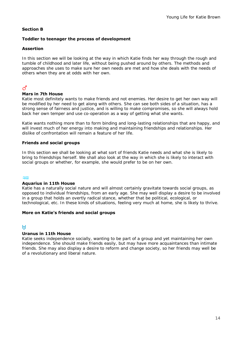#### **Section B**

#### **Toddler to teenager the process of development**

#### **Assertion**

In this section we will be looking at the way in which Katie finds her way through the rough and tumble of childhood and later life, without being pushed around by others. The methods and approaches she uses to make sure her own needs are met and how she deals with the needs of others when they are at odds with her own.

## $\vec{C}$

#### **Mars in 7th House**

Katie most definitely wants to make friends and not enemies. Her desire to get her own way will be modified by her need to get along with others. She can see both sides of a situation, has a strong sense of fairness and justice, and is willing to make compromises, so she will always hold back her own temper and use co-operation as a way of getting what she wants.

Katie wants nothing more than to form binding and long-lasting relationships that are happy, and will invest much of her energy into making and maintaining friendships and relationships. Her dislike of confrontation will remain a feature of her life.

#### **Friends and social groups**

In this section we shall be looking at what sort of friends Katie needs and what she is likely to bring to friendships herself. We shall also look at the way in which she is likely to interact with social groups or whether, for example, she would prefer to be on her own.

#### $\approx$

#### **Aquarius in 11th House**

Katie has a naturally social nature and will almost certainly gravitate towards social groups, as opposed to individual friendships, from an early age. She may well display a desire to be involved in a group that holds an overtly radical stance, whether that be political, ecological, or technological, etc. In these kinds of situations, feeling very much at home, she is likely to thrive.

#### **More on Katie's friends and social groups**

#### $H$

#### **Uranus in 11th House**

Katie seeks independence socially, wanting to be part of a group and yet maintaining her own independence. She should make friends easily, but may have more acquaintances than intimate friends. She may also display a desire to reform and change society, so her friends may well be of a revolutionary and liberal nature.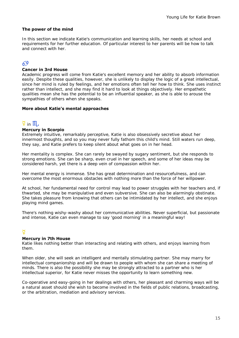#### **The power of the mind**

In this section we indicate Katie's communication and learning skills, her needs at school and requirements for her further education. Of particular interest to her parents will be how to talk and connect with her.

## 69

#### **Cancer in 3rd House**

Academic progress will come from Katie's excellent memory and her ability to absorb information easily. Despite these qualities, however, she is unlikely to display the logic of a great intellectual, since her mind is ruled by feelings, and her emotions often tell her how to think. She uses instinct rather than intellect, and she may find it hard to look at things objectively. Her empathetic qualities mean she has the potential to be an influential speaker, as she is able to arouse the sympathies of others when she speaks.

#### **More about Katie's mental approaches**

## $\overline{2}$  in  $\overline{\mathfrak{m}}_{4}$

#### **Mercury in Scorpio**

Extremely intuitive, remarkably perceptive, Katie is also obsessively secretive about her innermost thoughts, and so you may never fully fathom this child's mind. Still waters run deep, they say, and Katie prefers to keep silent about what goes on in her head.

Her mentality is complex. She can rarely be swayed by sugary sentiment, but she responds to strong emotions. She can be sharp, even cruel in her speech, and some of her ideas may be considered harsh, yet there is a deep vein of compassion within her.

Her mental energy is immense. She has great determination and resourcefulness, and can overcome the most enormous obstacles with nothing more than the force of her willpower.

At school, her fundamental need for control may lead to power struggles with her teachers and, if thwarted, she may be manipulative and even subversive. She can also be alarmingly obstinate. She takes pleasure from knowing that others can be intimidated by her intellect, and she enjoys playing mind games.

There's nothing wishy-washy about her communicative abilities. Never superficial, but passionate and intense, Katie can even manage to say 'good morning' in a meaningful way!

#### $\overline{Q}$

#### **Mercury in 7th House**

Katie likes nothing better than interacting and relating with others, and enjoys learning from them.

When older, she will seek an intelligent and mentally stimulating partner. She may marry for intellectual companionship and will be drawn to people with whom she can share a meeting of minds. There is also the possibility she may be strongly attracted to a partner who is her intellectual superior, for Katie never misses the opportunity to learn something new.

Co-operative and easy-going in her dealings with others, her pleasant and charming ways will be a natural asset should she wish to become involved in the fields of public relations, broadcasting, or the arbitration, mediation and advisory services.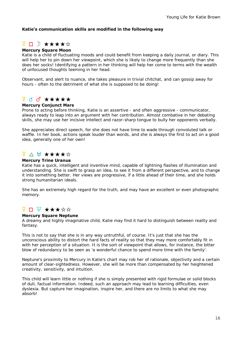#### **Katie's communication skills are modified in the following way**

## <del>¥</del> □ <del>》★★★★☆</del>

#### **Mercury Square Moon**

Katie is a child of fluctuating moods and could benefit from keeping a daily journal, or diary. This will help her to pin down her viewpoint, which she is likely to change more frequently than she does her socks! Identifying a pattern in her thinking will help her come to terms with the wealth of unfocused thoughts teeming in her head.

Observant, and alert to nuance, she takes pleasure in trivial chitchat, and can gossip away for hours - often to the detriment of what she is supposed to be doing!

## $\frac{d}{dx}$  d d<sup>\*</sup> \*\*\*\*\*

#### **Mercury Conjunct Mars**

Prone to acting before thinking, Katie is an assertive - and often aggressive - communicator, always ready to leap into an argument with her contribution. Almost combative in her debating skills, she may use her incisive intellect and razor-sharp tongue to bully her opponents verbally.

She appreciates direct speech, for she does not have time to wade through convoluted talk or waffle. In her book, actions speak louder than words, and she is always the first to act on a good idea, generally one of her own!

## $\frac{d}{dx}$   $\wedge$  H  $\star\star\star\star\star$

#### **Mercury Trine Uranus**

Katie has a quick, intelligent and inventive mind, capable of lightning flashes of illumination and understanding. She is swift to grasp an idea, to see it from a different perspective, and to change it into something better. Her views are progressive, if a little ahead of their time, and she holds strong humanitarian ideals.

She has an extremely high regard for the truth, and may have an excellent or even photographic memory.

## $\frac{d}{dx}$   $\Box$   $\frac{d}{dx}$   $\star$   $\star$   $\star$   $\star$   $\star$   $\star$

#### **Mercury Square Neptune**

A dreamy and highly imaginative child, Katie may find it hard to distinguish between reality and fantasy.

This is not to say that she is in any way untruthful, of course. It's just that she has the unconscious ability to distort the hard facts of reality so that they may more comfortably fit in with her perception of a situation. It is the sort of viewpoint that allows, for instance, the bitter blow of redundancy to be seen as 'a wonderful chance to spend more time with the family'.

Neptune's proximity to Mercury in Katie's chart may rob her of rationale, objectivity and a certain amount of clear-sightedness. However, she will be more than compensated by her heightened creativity, sensitivity, and intuition.

This child will learn little or nothing if she is simply presented with rigid formulae or solid blocks of dull, factual information. Indeed, such an approach may lead to learning difficulties, even dyslexia. But capture her imagination, inspire her, and there are no limits to what she may absorb!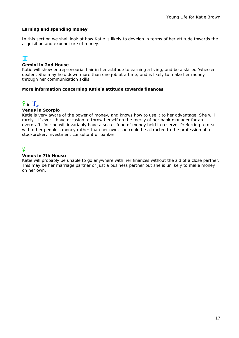#### **Earning and spending money**

In this section we shall look at how Katie is likely to develop in terms of her attitude towards the acquisition and expenditure of money.

## $\mathbb{T}$

#### **Gemini in 2nd House**

Katie will show entrepreneurial flair in her attitude to earning a living, and be a skilled 'wheelerdealer'. She may hold down more than one job at a time, and is likely to make her money through her communication skills.

#### **More information concerning Katie's attitude towards finances**

## $9$  in  $11$

#### **Venus in Scorpio**

Katie is very aware of the power of money, and knows how to use it to her advantage. She will rarely - if ever - have occasion to throw herself on the mercy of her bank manager for an overdraft, for she will invariably have a secret fund of money held in reserve. Preferring to deal with other people's money rather than her own, she could be attracted to the profession of a stockbroker, investment consultant or banker.

## $\overline{Q}$

#### **Venus in 7th House**

Katie will probably be unable to go anywhere with her finances without the aid of a close partner. This may be her marriage partner or just a business partner but she is unlikely to make money on her own.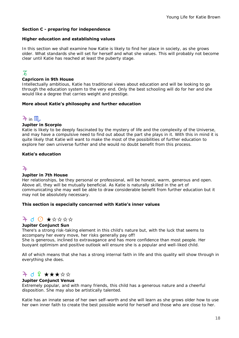#### **Section C - preparing for independence**

#### **Higher education and establishing values**

In this section we shall examine how Katie is likely to find her place in society, as she grows older. What standards she will set for herself and what she values. This will probably not become clear until Katie has reached at least the puberty stage.

## $\overline{A}$

#### **Capricorn in 9th House**

Intellectually ambitious, Katie has traditional views about education and will be looking to go through the education system to the very end. Only the best schooling will do for her and she would like a degree that carries weight and prestige.

#### **More about Katie's philosophy and further education**

## $4$  in  $11$

#### **Jupiter in Scorpio**

Katie is likely to be deeply fascinated by the mystery of life and the complexity of the Universe, and may have a compulsive need to find out about the part she plays in it. With this in mind it is quite likely that Katie will want to make the most of the possibilities of further education to explore her own universe further and she would no doubt benefit from this process.

#### **Katie's education**

### $\overline{2}$

#### **Jupiter in 7th House**

Her relationships, be they personal or professional, will be honest, warm, generous and open. Above all, they will be mutually beneficial. As Katie is naturally skilled in the art of communicating she may well be able to draw considerable benefit from further education but it may not be absolutely necessary.

#### **This section is especially concerned with Katie's inner values**

## $40$   $\star$   $\star$   $\star$   $\star$   $\star$

#### **Jupiter Conjunct Sun**

There's a strong risk-taking element in this child's nature but, with the luck that seems to accompany her every move, her risks generally pay off!

She is generous, inclined to extravagance and has more confidence than most people. Her buoyant optimism and positive outlook will ensure she is a popular and well-liked child.

All of which means that she has a strong internal faith in life and this quality will show through in everything she does.

## $4$  d  $2$  \*\*\*\*\*

#### **Jupiter Conjunct Venus**

Extremely popular, and with many friends, this child has a generous nature and a cheerful disposition. She may also be artistically talented.

Katie has an innate sense of her own self-worth and she will learn as she grows older how to use her own inner faith to create the best possible world for herself and those who are close to her.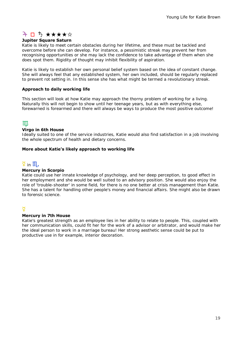## 7 D 5 ★★★★☆

#### **Jupiter Square Saturn**

Katie is likely to meet certain obstacles during her lifetime, and these must be tackled and overcome before she can develop. For instance, a pessimistic streak may prevent her from recognising opportunities or she may lack the confidence to take advantage of them when she does spot them. Rigidity of thought may inhibit flexibility of aspiration.

Katie is likely to establish her own personal belief system based on the idea of constant change. She will always feel that any established system, her own included, should be regularly replaced to prevent rot setting in. In this sense she has what might be termed a revolutionary streak.

#### **Approach to daily working life**

This section will look at how Katie may approach the thorny problem of working for a living. Naturally this will not begin to show until her teenage years, but as with everything else, forewarned is forearmed and there will always be ways to produce the most positive outcome!

## $\mathbb{I} \mathbb{I}$

#### **Virgo in 6th House**

Ideally suited to one of the service industries, Katie would also find satisfaction in a job involving the whole spectrum of health and dietary concerns.

#### **More about Katie's likely approach to working life**

## $\widetilde{P}$  in  $\mathbb{II}_a$

#### **Mercury in Scorpio**

Katie could use her innate knowledge of psychology, and her deep perception, to good effect in her employment and she would be well suited to an advisory position. She would also enjoy the role of 'trouble-shooter' in some field, for there is no one better at crisis management than Katie. She has a talent for handling other people's money and financial affairs. She might also be drawn to forensic science.

#### $\overline{Q}$

#### **Mercury in 7th House**

Katie's greatest strength as an employee lies in her ability to relate to people. This, coupled with her communication skills, could fit her for the work of a advisor or arbitrator, and would make her the ideal person to work in a marriage bureau! Her strong aesthetic sense could be put to productive use in for example, interior decoration.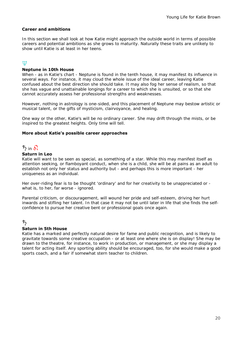#### **Career and ambitions**

In this section we shall look at how Katie might approach the outside world in terms of possible careers and potential ambitions as she grows to maturity. Naturally these traits are unlikely to show until Katie is at least in her teens.

## tt

#### **Neptune in 10th House**

When - as in Katie's chart - Neptune is found in the tenth house, it may manifest its influence in several ways. For instance, it may cloud the whole issue of the ideal career, leaving Katie confused about the best direction she should take. It may also fog her sense of realism, so that she has vague and unattainable longings for a career to which she is unsuited, or so that she cannot accurately assess her professional strengths and weaknesses.

However, nothing in astrology is one-sided, and this placement of Neptune may bestow artistic or musical talent, or the gifts of mysticism, clairvoyance, and healing.

One way or the other, Katie's will be no ordinary career. She may drift through the mists, or be inspired to the greatest heights. Only time will tell.

#### **More about Katie's possible career approaches**

## $5$  in  $\Omega$

#### **Saturn in Leo**

Katie will want to be seen as special, as something of a star. While this may manifest itself as attention seeking, or flamboyant conduct, when she is a child, she will be at pains as an adult to establish not only her status and authority but - and perhaps this is more important - her uniqueness as an individual.

Her over-riding fear is to be thought 'ordinary' and for her creativity to be unappreciated or what is, to her, far worse - ignored.

Parental criticism, or discouragement, will wound her pride and self-esteem, driving her hurt inwards and stifling her talent. In that case it may not be until later in life that she finds the selfconfidence to pursue her creative bent or professional goals once again.

#### ち

#### **Saturn in 5th House**

Katie has a marked and perfectly natural desire for fame and public recognition, and is likely to gravitate towards some creative occupation - or at least one where she is on display! She may be drawn to the theatre, for instance, to work in production, or management, or she may display a talent for acting itself. Any sporting ability should be encouraged, too, for she would make a good sports coach, and a fair if somewhat stern teacher to children.